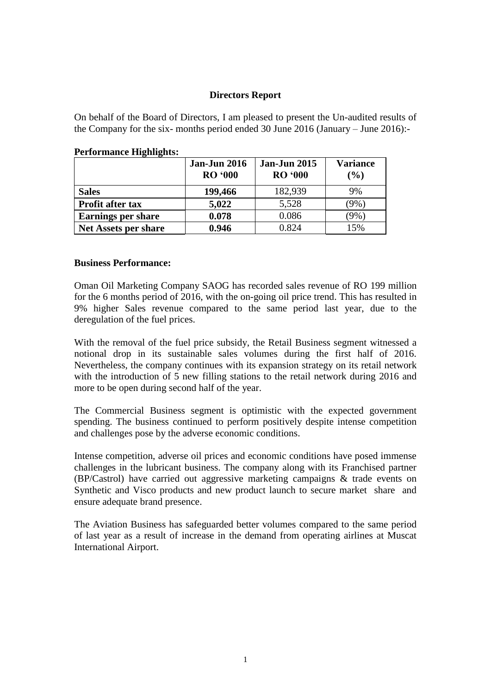#### **Directors Report**

On behalf of the Board of Directors, I am pleased to present the Un-audited results of the Company for the six- months period ended 30 June 2016 (January – June 2016):-

|                             | <b>Jan-Jun 2016</b><br><b>RO</b> '000 | <b>Jan-Jun 2015</b><br><b>RO</b> '000 | <b>Variance</b><br>(%) |
|-----------------------------|---------------------------------------|---------------------------------------|------------------------|
| <b>Sales</b>                | 199,466                               | 182,939                               | 9%                     |
| <b>Profit after tax</b>     | 5,022                                 | 5,528                                 | $(9\%)$                |
| <b>Earnings per share</b>   | 0.078                                 | 0.086                                 | $(9\%)$                |
| <b>Net Assets per share</b> | 0.946                                 | 0.824                                 | 15%                    |

#### **Performance Highlights:**

#### **Business Performance:**

Oman Oil Marketing Company SAOG has recorded sales revenue of RO 199 million for the 6 months period of 2016, with the on-going oil price trend. This has resulted in 9% higher Sales revenue compared to the same period last year, due to the deregulation of the fuel prices.

With the removal of the fuel price subsidy, the Retail Business segment witnessed a notional drop in its sustainable sales volumes during the first half of 2016. Nevertheless, the company continues with its expansion strategy on its retail network with the introduction of 5 new filling stations to the retail network during 2016 and more to be open during second half of the year.

The Commercial Business segment is optimistic with the expected government spending. The business continued to perform positively despite intense competition and challenges pose by the adverse economic conditions.

Intense competition, adverse oil prices and economic conditions have posed immense challenges in the lubricant business. The company along with its Franchised partner (BP/Castrol) have carried out aggressive marketing campaigns & trade events on Synthetic and Visco products and new product launch to secure market share and ensure adequate brand presence.

The Aviation Business has safeguarded better volumes compared to the same period of last year as a result of increase in the demand from operating airlines at Muscat International Airport.